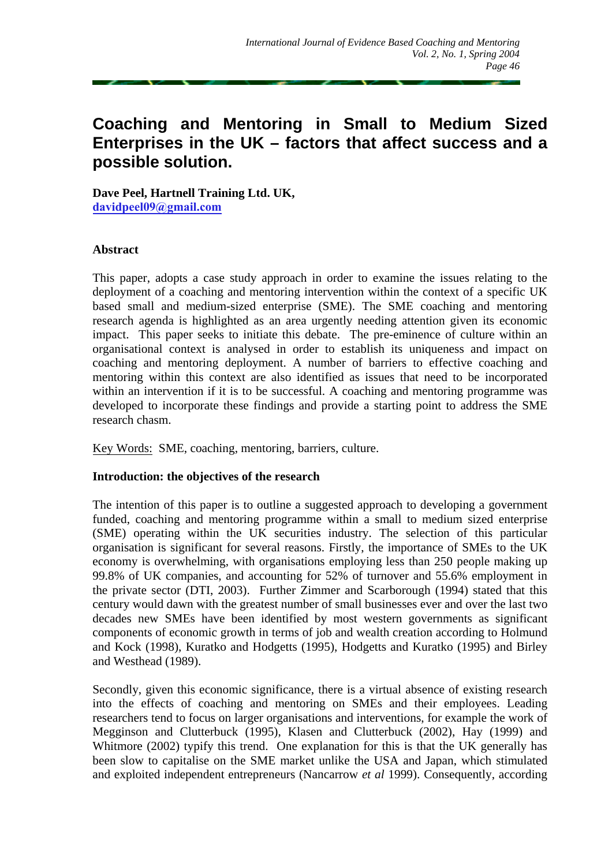# **Coaching and Mentoring in Small to Medium Sized Enterprises in the UK – factors that affect success and a possible solution.**

**Dave Peel, Hartnell Training Ltd. UK, david[peel09@gmail.com](mailto:davidpeel09@gmail.com)**

## **Abstract**

This paper, adopts a case study approach in order to examine the issues relating to the deployment of a coaching and mentoring intervention within the context of a specific UK based small and medium-sized enterprise (SME). The SME coaching and mentoring research agenda is highlighted as an area urgently needing attention given its economic impact. This paper seeks to initiate this debate. The pre-eminence of culture within an organisational context is analysed in order to establish its uniqueness and impact on coaching and mentoring deployment. A number of barriers to effective coaching and mentoring within this context are also identified as issues that need to be incorporated within an intervention if it is to be successful. A coaching and mentoring programme was developed to incorporate these findings and provide a starting point to address the SME research chasm.

Key Words: SME, coaching, mentoring, barriers, culture.

#### **Introduction: the objectives of the research**

The intention of this paper is to outline a suggested approach to developing a government funded, coaching and mentoring programme within a small to medium sized enterprise (SME) operating within the UK securities industry. The selection of this particular organisation is significant for several reasons. Firstly, the importance of SMEs to the UK economy is overwhelming, with organisations employing less than 250 people making up 99.8% of UK companies, and accounting for 52% of turnover and 55.6% employment in the private sector (DTI, 2003). Further Zimmer and Scarborough (1994) stated that this century would dawn with the greatest number of small businesses ever and over the last two decades new SMEs have been identified by most western governments as significant components of economic growth in terms of job and wealth creation according to Holmund and Kock (1998), Kuratko and Hodgetts (1995), Hodgetts and Kuratko (1995) and Birley and Westhead (1989).

Secondly, given this economic significance, there is a virtual absence of existing research into the effects of coaching and mentoring on SMEs and their employees. Leading researchers tend to focus on larger organisations and interventions, for example the work of Megginson and Clutterbuck (1995), Klasen and Clutterbuck (2002), Hay (1999) and Whitmore (2002) typify this trend. One explanation for this is that the UK generally has been slow to capitalise on the SME market unlike the USA and Japan, which stimulated and exploited independent entrepreneurs (Nancarrow *et al* 1999). Consequently, according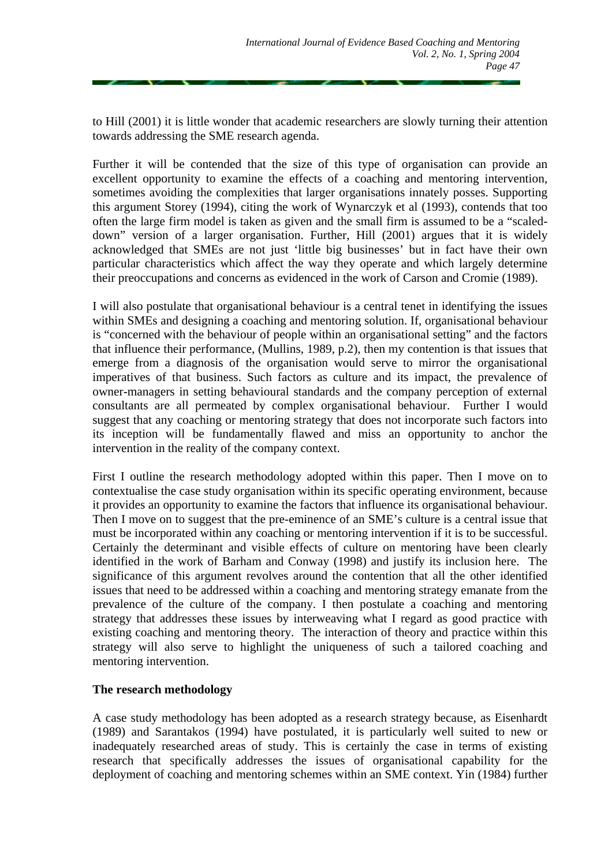to Hill (2001) it is little wonder that academic researchers are slowly turning their attention towards addressing the SME research agenda.

Further it will be contended that the size of this type of organisation can provide an excellent opportunity to examine the effects of a coaching and mentoring intervention, sometimes avoiding the complexities that larger organisations innately posses. Supporting this argument Storey (1994), citing the work of Wynarczyk et al (1993), contends that too often the large firm model is taken as given and the small firm is assumed to be a "scaleddown" version of a larger organisation. Further, Hill (2001) argues that it is widely acknowledged that SMEs are not just 'little big businesses' but in fact have their own particular characteristics which affect the way they operate and which largely determine their preoccupations and concerns as evidenced in the work of Carson and Cromie (1989).

I will also postulate that organisational behaviour is a central tenet in identifying the issues within SMEs and designing a coaching and mentoring solution. If, organisational behaviour is "concerned with the behaviour of people within an organisational setting" and the factors that influence their performance, (Mullins, 1989, p.2), then my contention is that issues that emerge from a diagnosis of the organisation would serve to mirror the organisational imperatives of that business. Such factors as culture and its impact, the prevalence of owner-managers in setting behavioural standards and the company perception of external consultants are all permeated by complex organisational behaviour. Further I would suggest that any coaching or mentoring strategy that does not incorporate such factors into its inception will be fundamentally flawed and miss an opportunity to anchor the intervention in the reality of the company context.

First I outline the research methodology adopted within this paper. Then I move on to contextualise the case study organisation within its specific operating environment, because it provides an opportunity to examine the factors that influence its organisational behaviour. Then I move on to suggest that the pre-eminence of an SME's culture is a central issue that must be incorporated within any coaching or mentoring intervention if it is to be successful. Certainly the determinant and visible effects of culture on mentoring have been clearly identified in the work of Barham and Conway (1998) and justify its inclusion here. The significance of this argument revolves around the contention that all the other identified issues that need to be addressed within a coaching and mentoring strategy emanate from the prevalence of the culture of the company. I then postulate a coaching and mentoring strategy that addresses these issues by interweaving what I regard as good practice with existing coaching and mentoring theory. The interaction of theory and practice within this strategy will also serve to highlight the uniqueness of such a tailored coaching and mentoring intervention.

# **The research methodology**

A case study methodology has been adopted as a research strategy because, as Eisenhardt (1989) and Sarantakos (1994) have postulated, it is particularly well suited to new or inadequately researched areas of study. This is certainly the case in terms of existing research that specifically addresses the issues of organisational capability for the deployment of coaching and mentoring schemes within an SME context. Yin (1984) further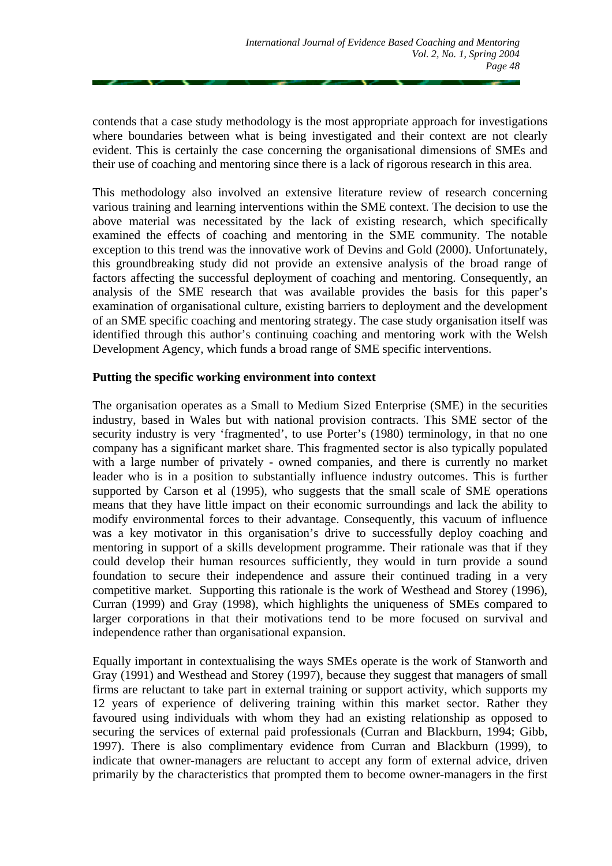contends that a case study methodology is the most appropriate approach for investigations where boundaries between what is being investigated and their context are not clearly evident. This is certainly the case concerning the organisational dimensions of SMEs and their use of coaching and mentoring since there is a lack of rigorous research in this area.

This methodology also involved an extensive literature review of research concerning various training and learning interventions within the SME context. The decision to use the above material was necessitated by the lack of existing research, which specifically examined the effects of coaching and mentoring in the SME community. The notable exception to this trend was the innovative work of Devins and Gold (2000). Unfortunately, this groundbreaking study did not provide an extensive analysis of the broad range of factors affecting the successful deployment of coaching and mentoring. Consequently, an analysis of the SME research that was available provides the basis for this paper's examination of organisational culture, existing barriers to deployment and the development of an SME specific coaching and mentoring strategy. The case study organisation itself was identified through this author's continuing coaching and mentoring work with the Welsh Development Agency, which funds a broad range of SME specific interventions.

## **Putting the specific working environment into context**

The organisation operates as a Small to Medium Sized Enterprise (SME) in the securities industry, based in Wales but with national provision contracts. This SME sector of the security industry is very 'fragmented', to use Porter's (1980) terminology, in that no one company has a significant market share. This fragmented sector is also typically populated with a large number of privately - owned companies, and there is currently no market leader who is in a position to substantially influence industry outcomes. This is further supported by Carson et al (1995), who suggests that the small scale of SME operations means that they have little impact on their economic surroundings and lack the ability to modify environmental forces to their advantage. Consequently, this vacuum of influence was a key motivator in this organisation's drive to successfully deploy coaching and mentoring in support of a skills development programme. Their rationale was that if they could develop their human resources sufficiently, they would in turn provide a sound foundation to secure their independence and assure their continued trading in a very competitive market. Supporting this rationale is the work of Westhead and Storey (1996), Curran (1999) and Gray (1998), which highlights the uniqueness of SMEs compared to larger corporations in that their motivations tend to be more focused on survival and independence rather than organisational expansion.

Equally important in contextualising the ways SMEs operate is the work of Stanworth and Gray (1991) and Westhead and Storey (1997), because they suggest that managers of small firms are reluctant to take part in external training or support activity, which supports my 12 years of experience of delivering training within this market sector. Rather they favoured using individuals with whom they had an existing relationship as opposed to securing the services of external paid professionals (Curran and Blackburn, 1994; Gibb, 1997). There is also complimentary evidence from Curran and Blackburn (1999), to indicate that owner-managers are reluctant to accept any form of external advice, driven primarily by the characteristics that prompted them to become owner-managers in the first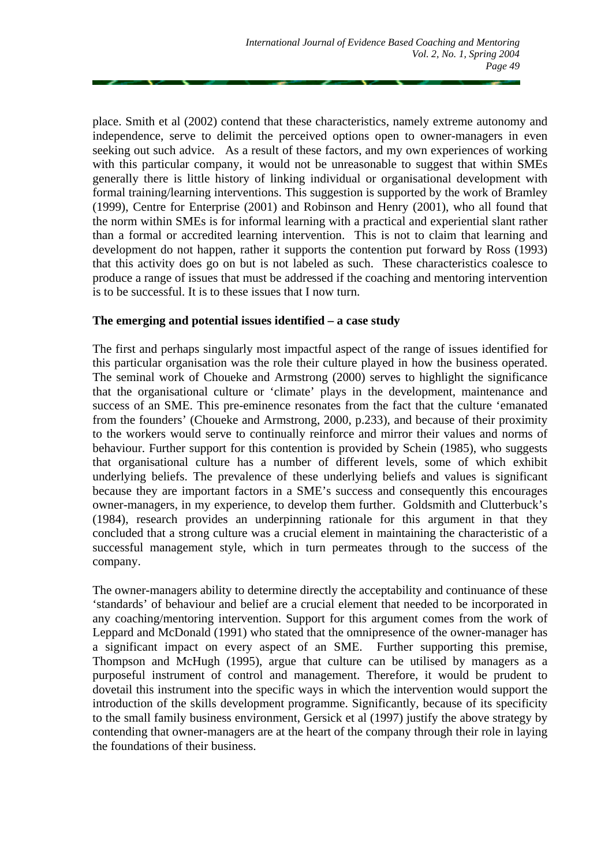place. Smith et al (2002) contend that these characteristics, namely extreme autonomy and independence, serve to delimit the perceived options open to owner-managers in even seeking out such advice. As a result of these factors, and my own experiences of working with this particular company, it would not be unreasonable to suggest that within SMEs generally there is little history of linking individual or organisational development with formal training/learning interventions. This suggestion is supported by the work of Bramley (1999), Centre for Enterprise (2001) and Robinson and Henry (2001), who all found that the norm within SMEs is for informal learning with a practical and experiential slant rather than a formal or accredited learning intervention. This is not to claim that learning and development do not happen, rather it supports the contention put forward by Ross (1993) that this activity does go on but is not labeled as such. These characteristics coalesce to produce a range of issues that must be addressed if the coaching and mentoring intervention is to be successful. It is to these issues that I now turn.

## **The emerging and potential issues identified – a case study**

The first and perhaps singularly most impactful aspect of the range of issues identified for this particular organisation was the role their culture played in how the business operated. The seminal work of Choueke and Armstrong (2000) serves to highlight the significance that the organisational culture or 'climate' plays in the development, maintenance and success of an SME. This pre-eminence resonates from the fact that the culture 'emanated from the founders' (Choueke and Armstrong, 2000, p.233), and because of their proximity to the workers would serve to continually reinforce and mirror their values and norms of behaviour. Further support for this contention is provided by Schein (1985), who suggests that organisational culture has a number of different levels, some of which exhibit underlying beliefs. The prevalence of these underlying beliefs and values is significant because they are important factors in a SME's success and consequently this encourages owner-managers, in my experience, to develop them further. Goldsmith and Clutterbuck's (1984), research provides an underpinning rationale for this argument in that they concluded that a strong culture was a crucial element in maintaining the characteristic of a successful management style, which in turn permeates through to the success of the company.

The owner-managers ability to determine directly the acceptability and continuance of these 'standards' of behaviour and belief are a crucial element that needed to be incorporated in any coaching/mentoring intervention. Support for this argument comes from the work of Leppard and McDonald (1991) who stated that the omnipresence of the owner-manager has a significant impact on every aspect of an SME. Further supporting this premise, Thompson and McHugh (1995), argue that culture can be utilised by managers as a purposeful instrument of control and management. Therefore, it would be prudent to dovetail this instrument into the specific ways in which the intervention would support the introduction of the skills development programme. Significantly, because of its specificity to the small family business environment, Gersick et al (1997) justify the above strategy by contending that owner-managers are at the heart of the company through their role in laying the foundations of their business.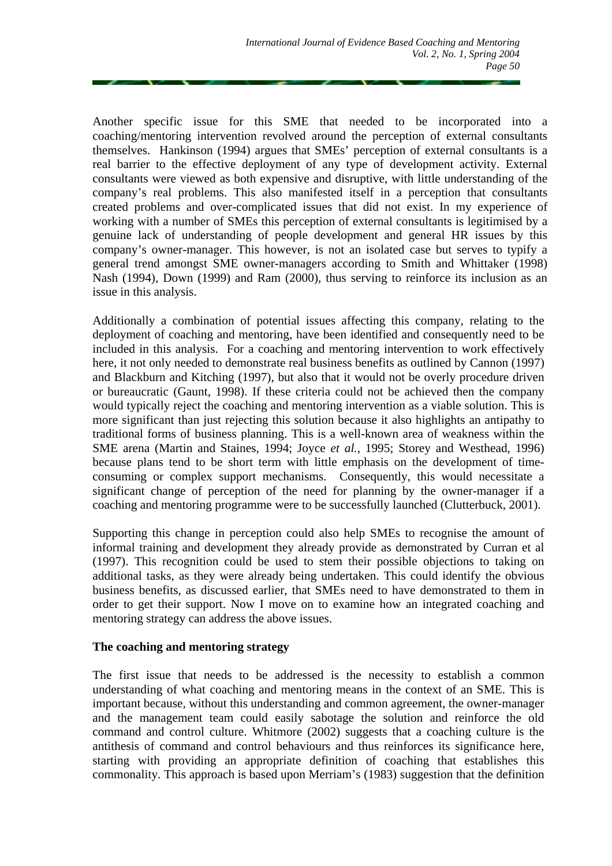Another specific issue for this SME that needed to be incorporated into a coaching/mentoring intervention revolved around the perception of external consultants themselves. Hankinson (1994) argues that SMEs' perception of external consultants is a real barrier to the effective deployment of any type of development activity. External consultants were viewed as both expensive and disruptive, with little understanding of the company's real problems. This also manifested itself in a perception that consultants created problems and over-complicated issues that did not exist. In my experience of working with a number of SMEs this perception of external consultants is legitimised by a genuine lack of understanding of people development and general HR issues by this company's owner-manager. This however, is not an isolated case but serves to typify a general trend amongst SME owner-managers according to Smith and Whittaker (1998) Nash (1994), Down (1999) and Ram (2000), thus serving to reinforce its inclusion as an issue in this analysis.

Additionally a combination of potential issues affecting this company, relating to the deployment of coaching and mentoring, have been identified and consequently need to be included in this analysis. For a coaching and mentoring intervention to work effectively here, it not only needed to demonstrate real business benefits as outlined by Cannon (1997) and Blackburn and Kitching (1997), but also that it would not be overly procedure driven or bureaucratic (Gaunt, 1998). If these criteria could not be achieved then the company would typically reject the coaching and mentoring intervention as a viable solution. This is more significant than just rejecting this solution because it also highlights an antipathy to traditional forms of business planning. This is a well-known area of weakness within the SME arena (Martin and Staines, 1994; Joyce *et al.,* 1995; Storey and Westhead, 1996) because plans tend to be short term with little emphasis on the development of timeconsuming or complex support mechanisms. Consequently, this would necessitate a significant change of perception of the need for planning by the owner-manager if a coaching and mentoring programme were to be successfully launched (Clutterbuck, 2001).

Supporting this change in perception could also help SMEs to recognise the amount of informal training and development they already provide as demonstrated by Curran et al (1997). This recognition could be used to stem their possible objections to taking on additional tasks, as they were already being undertaken. This could identify the obvious business benefits, as discussed earlier, that SMEs need to have demonstrated to them in order to get their support. Now I move on to examine how an integrated coaching and mentoring strategy can address the above issues.

#### **The coaching and mentoring strategy**

The first issue that needs to be addressed is the necessity to establish a common understanding of what coaching and mentoring means in the context of an SME. This is important because, without this understanding and common agreement, the owner-manager and the management team could easily sabotage the solution and reinforce the old command and control culture. Whitmore (2002) suggests that a coaching culture is the antithesis of command and control behaviours and thus reinforces its significance here, starting with providing an appropriate definition of coaching that establishes this commonality. This approach is based upon Merriam's (1983) suggestion that the definition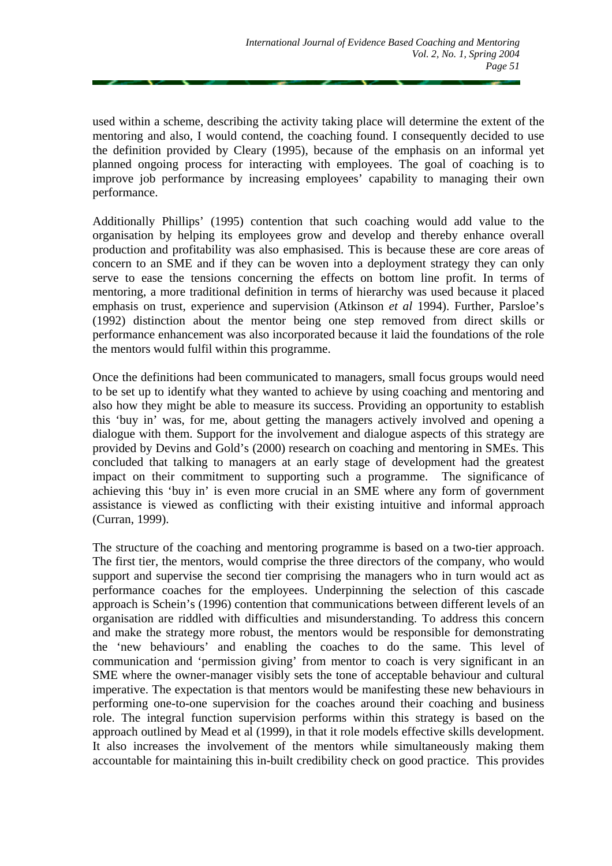used within a scheme, describing the activity taking place will determine the extent of the mentoring and also, I would contend, the coaching found. I consequently decided to use the definition provided by Cleary (1995), because of the emphasis on an informal yet planned ongoing process for interacting with employees. The goal of coaching is to improve job performance by increasing employees' capability to managing their own performance.

Additionally Phillips' (1995) contention that such coaching would add value to the organisation by helping its employees grow and develop and thereby enhance overall production and profitability was also emphasised. This is because these are core areas of concern to an SME and if they can be woven into a deployment strategy they can only serve to ease the tensions concerning the effects on bottom line profit. In terms of mentoring, a more traditional definition in terms of hierarchy was used because it placed emphasis on trust, experience and supervision (Atkinson *et al* 1994). Further, Parsloe's (1992) distinction about the mentor being one step removed from direct skills or performance enhancement was also incorporated because it laid the foundations of the role the mentors would fulfil within this programme.

Once the definitions had been communicated to managers, small focus groups would need to be set up to identify what they wanted to achieve by using coaching and mentoring and also how they might be able to measure its success. Providing an opportunity to establish this 'buy in' was, for me, about getting the managers actively involved and opening a dialogue with them. Support for the involvement and dialogue aspects of this strategy are provided by Devins and Gold's (2000) research on coaching and mentoring in SMEs. This concluded that talking to managers at an early stage of development had the greatest impact on their commitment to supporting such a programme. The significance of achieving this 'buy in' is even more crucial in an SME where any form of government assistance is viewed as conflicting with their existing intuitive and informal approach (Curran, 1999).

The structure of the coaching and mentoring programme is based on a two-tier approach. The first tier, the mentors, would comprise the three directors of the company, who would support and supervise the second tier comprising the managers who in turn would act as performance coaches for the employees. Underpinning the selection of this cascade approach is Schein's (1996) contention that communications between different levels of an organisation are riddled with difficulties and misunderstanding. To address this concern and make the strategy more robust, the mentors would be responsible for demonstrating the 'new behaviours' and enabling the coaches to do the same. This level of communication and 'permission giving' from mentor to coach is very significant in an SME where the owner-manager visibly sets the tone of acceptable behaviour and cultural imperative. The expectation is that mentors would be manifesting these new behaviours in performing one-to-one supervision for the coaches around their coaching and business role. The integral function supervision performs within this strategy is based on the approach outlined by Mead et al (1999), in that it role models effective skills development. It also increases the involvement of the mentors while simultaneously making them accountable for maintaining this in-built credibility check on good practice. This provides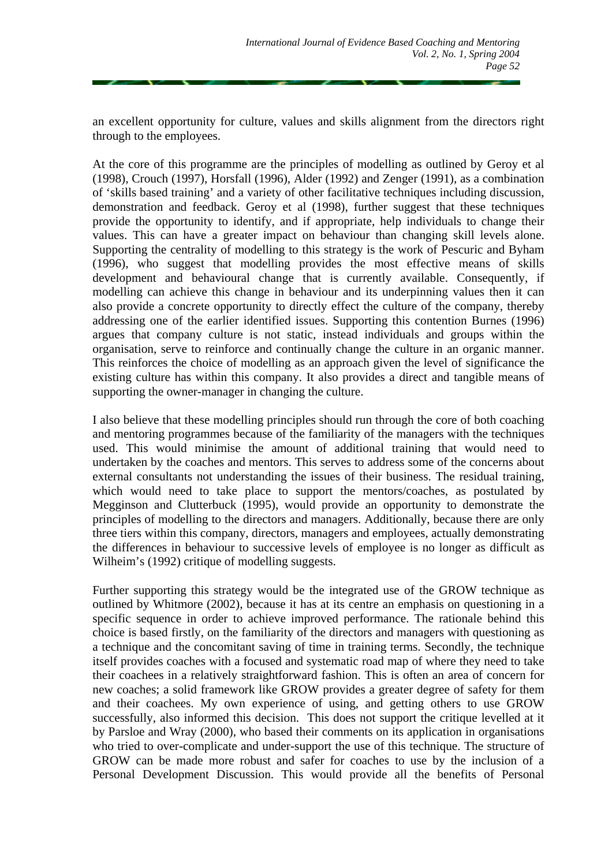an excellent opportunity for culture, values and skills alignment from the directors right through to the employees.

At the core of this programme are the principles of modelling as outlined by Geroy et al (1998), Crouch (1997), Horsfall (1996), Alder (1992) and Zenger (1991), as a combination of 'skills based training' and a variety of other facilitative techniques including discussion, demonstration and feedback. Geroy et al (1998), further suggest that these techniques provide the opportunity to identify, and if appropriate, help individuals to change their values. This can have a greater impact on behaviour than changing skill levels alone. Supporting the centrality of modelling to this strategy is the work of Pescuric and Byham (1996), who suggest that modelling provides the most effective means of skills development and behavioural change that is currently available. Consequently, if modelling can achieve this change in behaviour and its underpinning values then it can also provide a concrete opportunity to directly effect the culture of the company, thereby addressing one of the earlier identified issues. Supporting this contention Burnes (1996) argues that company culture is not static, instead individuals and groups within the organisation, serve to reinforce and continually change the culture in an organic manner. This reinforces the choice of modelling as an approach given the level of significance the existing culture has within this company. It also provides a direct and tangible means of supporting the owner-manager in changing the culture.

I also believe that these modelling principles should run through the core of both coaching and mentoring programmes because of the familiarity of the managers with the techniques used. This would minimise the amount of additional training that would need to undertaken by the coaches and mentors. This serves to address some of the concerns about external consultants not understanding the issues of their business. The residual training, which would need to take place to support the mentors/coaches, as postulated by Megginson and Clutterbuck (1995), would provide an opportunity to demonstrate the principles of modelling to the directors and managers. Additionally, because there are only three tiers within this company, directors, managers and employees, actually demonstrating the differences in behaviour to successive levels of employee is no longer as difficult as Wilheim's (1992) critique of modelling suggests.

Further supporting this strategy would be the integrated use of the GROW technique as outlined by Whitmore (2002), because it has at its centre an emphasis on questioning in a specific sequence in order to achieve improved performance. The rationale behind this choice is based firstly, on the familiarity of the directors and managers with questioning as a technique and the concomitant saving of time in training terms. Secondly, the technique itself provides coaches with a focused and systematic road map of where they need to take their coachees in a relatively straightforward fashion. This is often an area of concern for new coaches; a solid framework like GROW provides a greater degree of safety for them and their coachees. My own experience of using, and getting others to use GROW successfully, also informed this decision. This does not support the critique levelled at it by Parsloe and Wray (2000), who based their comments on its application in organisations who tried to over-complicate and under-support the use of this technique. The structure of GROW can be made more robust and safer for coaches to use by the inclusion of a Personal Development Discussion. This would provide all the benefits of Personal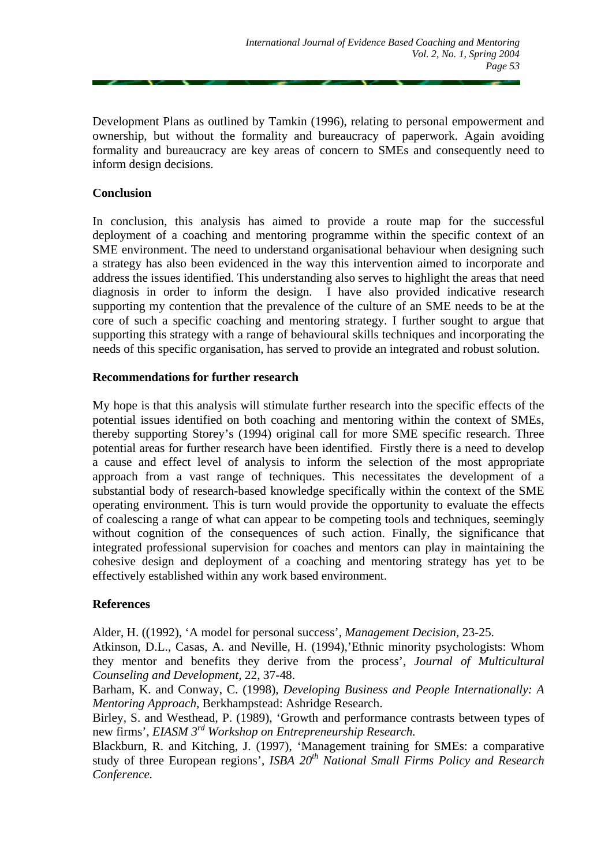Development Plans as outlined by Tamkin (1996), relating to personal empowerment and ownership, but without the formality and bureaucracy of paperwork. Again avoiding formality and bureaucracy are key areas of concern to SMEs and consequently need to inform design decisions.

## **Conclusion**

In conclusion, this analysis has aimed to provide a route map for the successful deployment of a coaching and mentoring programme within the specific context of an SME environment. The need to understand organisational behaviour when designing such a strategy has also been evidenced in the way this intervention aimed to incorporate and address the issues identified. This understanding also serves to highlight the areas that need diagnosis in order to inform the design. I have also provided indicative research supporting my contention that the prevalence of the culture of an SME needs to be at the core of such a specific coaching and mentoring strategy. I further sought to argue that supporting this strategy with a range of behavioural skills techniques and incorporating the needs of this specific organisation, has served to provide an integrated and robust solution.

## **Recommendations for further research**

My hope is that this analysis will stimulate further research into the specific effects of the potential issues identified on both coaching and mentoring within the context of SMEs, thereby supporting Storey's (1994) original call for more SME specific research. Three potential areas for further research have been identified. Firstly there is a need to develop a cause and effect level of analysis to inform the selection of the most appropriate approach from a vast range of techniques. This necessitates the development of a substantial body of research-based knowledge specifically within the context of the SME operating environment. This is turn would provide the opportunity to evaluate the effects of coalescing a range of what can appear to be competing tools and techniques, seemingly without cognition of the consequences of such action. Finally, the significance that integrated professional supervision for coaches and mentors can play in maintaining the cohesive design and deployment of a coaching and mentoring strategy has yet to be effectively established within any work based environment.

#### **References**

Alder, H. ((1992), 'A model for personal success', *Management Decision,* 23-25.

Atkinson, D.L., Casas, A. and Neville, H. (1994),'Ethnic minority psychologists: Whom they mentor and benefits they derive from the process', *Journal of Multicultural Counseling and Development,* 22, 37-48.

Barham, K. and Conway, C. (1998), *Developing Business and People Internationally: A Mentoring Approach,* Berkhampstead: Ashridge Research.

Birley, S. and Westhead, P. (1989), 'Growth and performance contrasts between types of new firms', *EIASM 3rd Workshop on Entrepreneurship Research.* 

Blackburn, R. and Kitching, J. (1997), 'Management training for SMEs: a comparative study of three European regions', *ISBA 20th National Small Firms Policy and Research Conference.*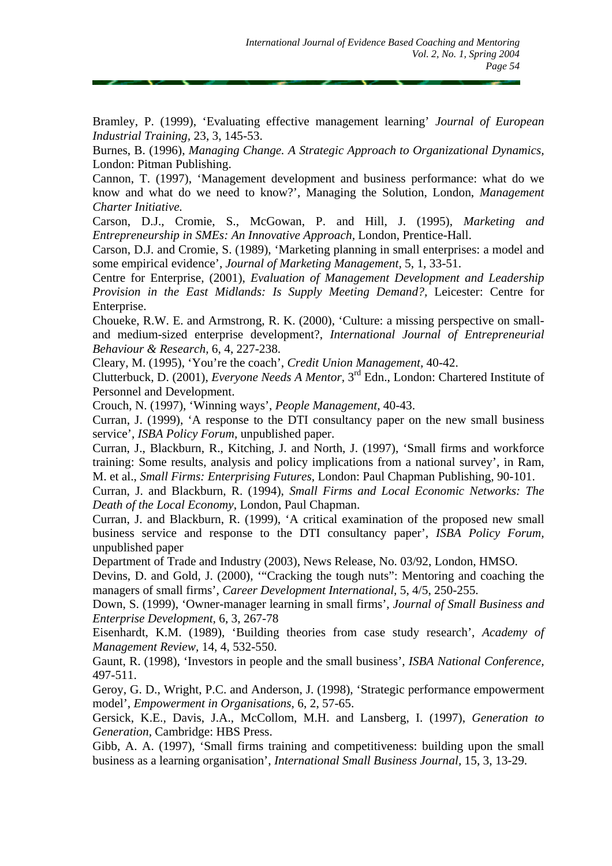Bramley, P. (1999), 'Evaluating effective management learning' *Journal of European Industrial Training,* 23, 3, 145-53.

Burnes, B. (1996), *Managing Change. A Strategic Approach to Organizational Dynamics,* London: Pitman Publishing.

Cannon, T. (1997), 'Management development and business performance: what do we know and what do we need to know?', Managing the Solution, London, *Management Charter Initiative.* 

Carson, D.J., Cromie, S., McGowan, P. and Hill, J. (1995), *Marketing and Entrepreneurship in SMEs: An Innovative Approach,* London, Prentice-Hall.

Carson, D.J. and Cromie, S. (1989), 'Marketing planning in small enterprises: a model and some empirical evidence', *Journal of Marketing Management,* 5, 1, 33-51.

Centre for Enterprise, (2001), *Evaluation of Management Development and Leadership Provision in the East Midlands: Is Supply Meeting Demand?,* Leicester: Centre for Enterprise.

Choueke, R.W. E. and Armstrong, R. K. (2000), 'Culture: a missing perspective on smalland medium-sized enterprise development?, *International Journal of Entrepreneurial Behaviour & Research,* 6, 4, 227-238.

Cleary, M. (1995), 'You're the coach', *Credit Union Management,* 40-42.

Clutterbuck, D. (2001), *Everyone Needs A Mentor,* 3rd Edn., London: Chartered Institute of Personnel and Development.

Crouch, N. (1997), 'Winning ways', *People Management,* 40-43.

Curran, J. (1999), 'A response to the DTI consultancy paper on the new small business service', *ISBA Policy Forum,* unpublished paper.

Curran, J., Blackburn, R., Kitching, J. and North, J. (1997), 'Small firms and workforce training: Some results, analysis and policy implications from a national survey', in Ram, M. et al., *Small Firms: Enterprising Futures,* London: Paul Chapman Publishing, 90-101.

Curran, J. and Blackburn, R. (1994), *Small Firms and Local Economic Networks: The Death of the Local Economy*, London, Paul Chapman.

Curran, J. and Blackburn, R. (1999), 'A critical examination of the proposed new small business service and response to the DTI consultancy paper', *ISBA Policy Forum,* unpublished paper

Department of Trade and Industry (2003), News Release, No. 03/92, London, HMSO.

Devins, D. and Gold, J. (2000), '"Cracking the tough nuts": Mentoring and coaching the managers of small firms', *Career Development International,* 5, 4/5, 250-255.

Down, S. (1999), 'Owner-manager learning in small firms', *Journal of Small Business and Enterprise Development,* 6, 3, 267-78

Eisenhardt, K.M. (1989), 'Building theories from case study research', *Academy of Management Review,* 14, 4, 532-550.

Gaunt, R. (1998), 'Investors in people and the small business', *ISBA National Conference,*  497-511.

Geroy, G. D., Wright, P.C. and Anderson, J. (1998), 'Strategic performance empowerment model', *Empowerment in Organisations,* 6, 2, 57-65.

Gersick, K.E., Davis, J.A., McCollom, M.H. and Lansberg, I. (1997), *Generation to Generation,* Cambridge: HBS Press.

Gibb, A. A. (1997), 'Small firms training and competitiveness: building upon the small business as a learning organisation', *International Small Business Journal,* 15, 3, 13-29.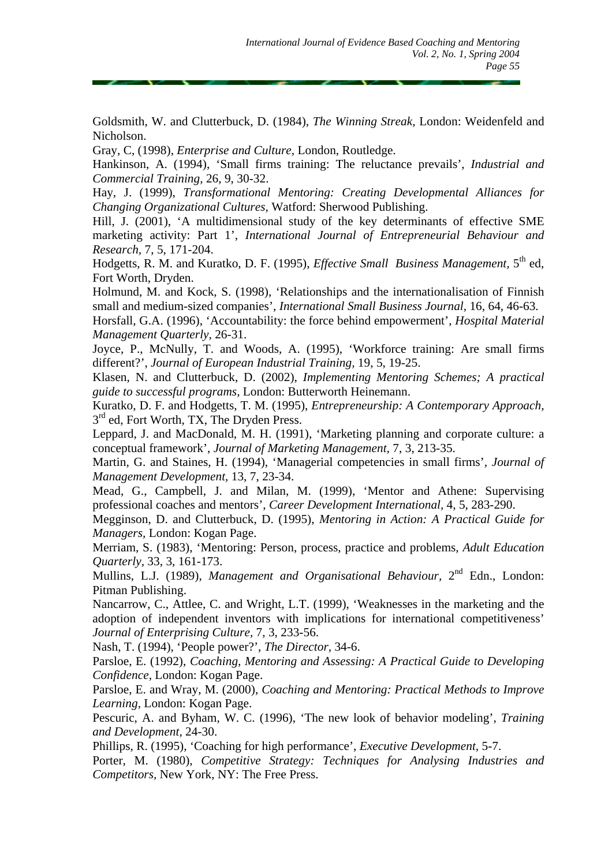Goldsmith, W. and Clutterbuck, D. (1984), *The Winning Streak,* London: Weidenfeld and Nicholson.

Gray, C, (1998), *Enterprise and Culture,* London, Routledge.

Hankinson, A. (1994), 'Small firms training: The reluctance prevails', *Industrial and Commercial Training,* 26, 9, 30-32.

Hay, J. (1999), *Transformational Mentoring: Creating Developmental Alliances for Changing Organizational Cultures,* Watford: Sherwood Publishing.

Hill, J. (2001), 'A multidimensional study of the key determinants of effective SME marketing activity: Part 1', *International Journal of Entrepreneurial Behaviour and Research,* 7, 5, 171-204.

Hodgetts, R. M. and Kuratko, D. F. (1995), *Effective Small Business Management,* 5th ed, Fort Worth, Dryden.

Holmund, M. and Kock, S. (1998), 'Relationships and the internationalisation of Finnish small and medium-sized companies', *International Small Business Journal,* 16, 64, 46-63.

Horsfall, G.A. (1996), 'Accountability: the force behind empowerment', *Hospital Material Management Quarterly,* 26-31.

Joyce, P., McNully, T. and Woods, A. (1995), 'Workforce training: Are small firms different?', *Journal of European Industrial Training,* 19, 5, 19-25.

Klasen, N. and Clutterbuck, D. (2002), *Implementing Mentoring Schemes; A practical guide to successful programs,* London: Butterworth Heinemann.

Kuratko, D. F. and Hodgetts, T. M. (1995), *Entrepreneurship: A Contemporary Approach,*  3rd ed, Fort Worth, TX, The Dryden Press.

Leppard, J. and MacDonald, M. H. (1991), 'Marketing planning and corporate culture: a conceptual framework', *Journal of Marketing Management,* 7, 3, 213-35.

Martin, G. and Staines, H. (1994), 'Managerial competencies in small firms', *Journal of Management Development,* 13, 7, 23-34.

Mead, G., Campbell, J. and Milan, M. (1999), 'Mentor and Athene: Supervising professional coaches and mentors', *Career Development International,* 4, 5, 283-290.

Megginson, D. and Clutterbuck, D. (1995), *Mentoring in Action: A Practical Guide for Managers,* London: Kogan Page.

Merriam, S. (1983), 'Mentoring: Person, process, practice and problems, *Adult Education Quarterly,* 33, 3, 161-173.

Mullins, L.J. (1989), *Management and Organisational Behaviour*, 2<sup>nd</sup> Edn., London: Pitman Publishing.

Nancarrow, C., Attlee, C. and Wright, L.T. (1999), 'Weaknesses in the marketing and the adoption of independent inventors with implications for international competitiveness' *Journal of Enterprising Culture,* 7, 3, 233-56.

Nash, T. (1994), 'People power?', *The Director,* 34-6.

Parsloe, E. (1992), *Coaching, Mentoring and Assessing: A Practical Guide to Developing Confidence,* London: Kogan Page.

Parsloe, E. and Wray, M. (2000), *Coaching and Mentoring: Practical Methods to Improve Learning,* London: Kogan Page.

Pescuric, A. and Byham, W. C. (1996), 'The new look of behavior modeling', *Training and Development,* 24-30.

Phillips, R. (1995), 'Coaching for high performance', *Executive Development,* 5-7.

Porter, M. (1980), *Competitive Strategy: Techniques for Analysing Industries and Competitors,* New York, NY: The Free Press.